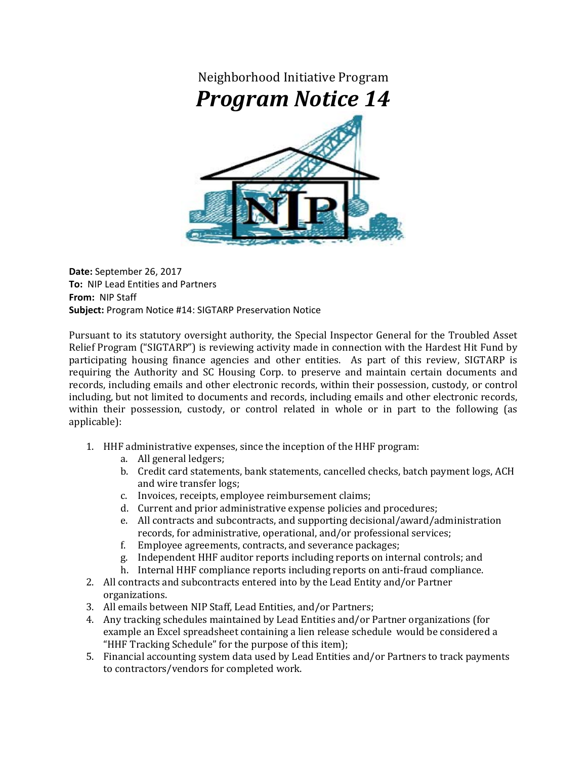

**Date:** September 26, 2017 **To:** NIP Lead Entities and Partners **From:** NIP Staff **Subject:** Program Notice #14: SIGTARP Preservation Notice

Pursuant to its statutory oversight authority, the Special Inspector General for the Troubled Asset Relief Program ("SIGTARP") is reviewing activity made in connection with the Hardest Hit Fund by participating housing finance agencies and other entities. As part of this review, SIGTARP is requiring the Authority and SC Housing Corp. to preserve and maintain certain documents and records, including emails and other electronic records, within their possession, custody, or control including, but not limited to documents and records, including emails and other electronic records, within their possession, custody, or control related in whole or in part to the following (as applicable): 

- 1. HHF administrative expenses, since the inception of the HHF program:
	- a. All general ledgers;
	- b. Credit card statements, bank statements, cancelled checks, batch payment logs, ACH and wire transfer logs;
	- c. Invoices, receipts, employee reimbursement claims;
	- d. Current and prior administrative expense policies and procedures;
	- e. All contracts and subcontracts, and supporting decisional/award/administration records, for administrative, operational, and/or professional services;
	- f. Employee agreements, contracts, and severance packages;
	- g. Independent HHF auditor reports including reports on internal controls; and
	- h. Internal HHF compliance reports including reports on anti-fraud compliance.
- 2. All contracts and subcontracts entered into by the Lead Entity and/or Partner organizations.
- 3. All emails between NIP Staff, Lead Entities, and/or Partners;
- 4. Any tracking schedules maintained by Lead Entities and/or Partner organizations (for example an Excel spreadsheet containing a lien release schedule would be considered a "HHF Tracking Schedule" for the purpose of this item);
- 5. Financial accounting system data used by Lead Entities and/or Partners to track payments to contractors/vendors for completed work.